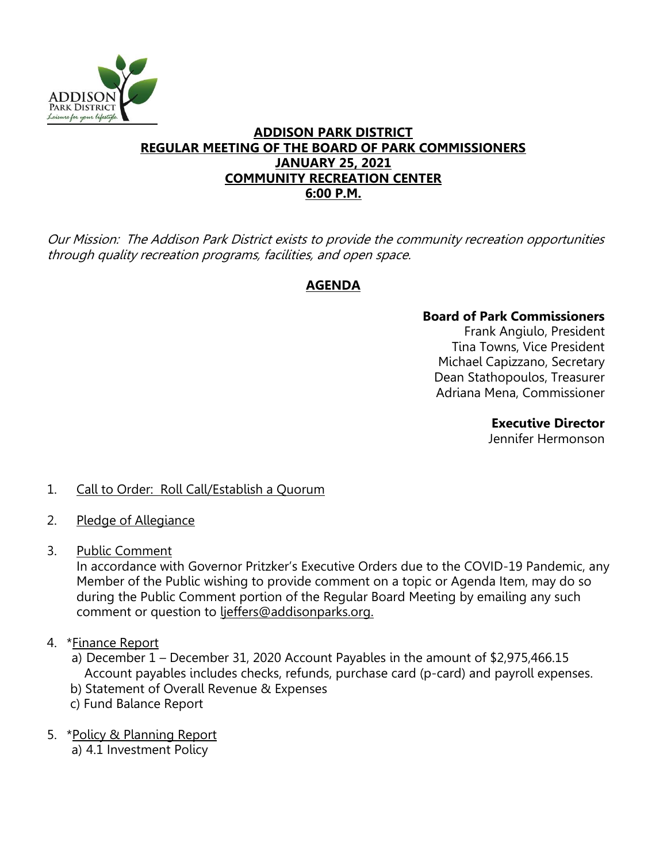

#### **ADDISON PARK DISTRICT REGULAR MEETING OF THE BOARD OF PARK COMMISSIONERS JANUARY 25, 2021 COMMUNITY RECREATION CENTER 6:00 P.M.**

Our Mission: The Addison Park District exists to provide the community recreation opportunities through quality recreation programs, facilities, and open space.

# **AGENDA**

## **Board of Park Commissioners**

Frank Angiulo, President Tina Towns, Vice President Michael Capizzano, Secretary Dean Stathopoulos, Treasurer Adriana Mena, Commissioner

> **Executive Director**  Jennifer Hermonson

## 1. Call to Order: Roll Call/Establish a Quorum

- 2. Pledge of Allegiance
- 3. Public Comment

In accordance with Governor Pritzker's Executive Orders due to the COVID-19 Pandemic, any Member of the Public wishing to provide comment on a topic or Agenda Item, may do so during the Public Comment portion of the Regular Board Meeting by emailing any such comment or question to ljeffers@addisonparks.org.

- 4. \*Finance Report
	- a) December 1 December 31, 2020 Account Payables in the amount of \$2,975,466.15 Account payables includes checks, refunds, purchase card (p-card) and payroll expenses.
	- b) Statement of Overall Revenue & Expenses
	- c) Fund Balance Report
- 5. \*Policy & Planning Report
	- a) 4.1 Investment Policy